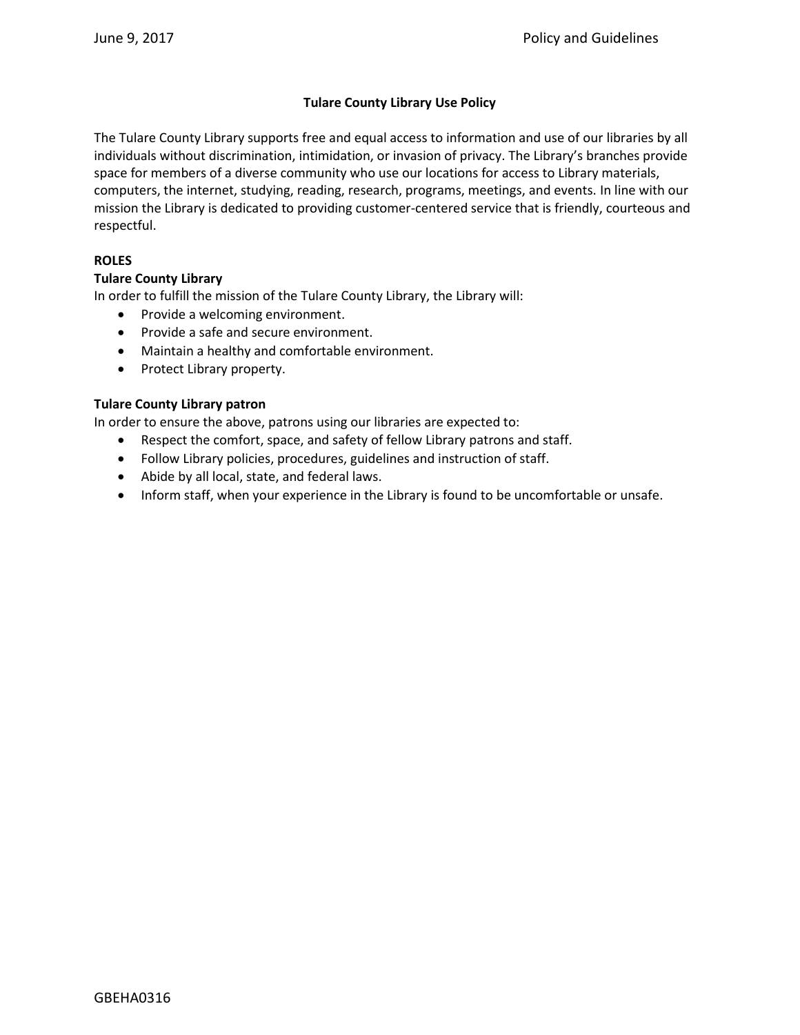# **Tulare County Library Use Policy**

The Tulare County Library supports free and equal access to information and use of our libraries by all individuals without discrimination, intimidation, or invasion of privacy. The Library's branches provide space for members of a diverse community who use our locations for access to Library materials, computers, the internet, studying, reading, research, programs, meetings, and events. In line with our mission the Library is dedicated to providing customer-centered service that is friendly, courteous and respectful.

## **ROLES**

# **Tulare County Library**

In order to fulfill the mission of the Tulare County Library, the Library will:

- Provide a welcoming environment.
- Provide a safe and secure environment.
- Maintain a healthy and comfortable environment.
- Protect Library property.

#### **Tulare County Library patron**

In order to ensure the above, patrons using our libraries are expected to:

- Respect the comfort, space, and safety of fellow Library patrons and staff.
- Follow Library policies, procedures, guidelines and instruction of staff.
- Abide by all local, state, and federal laws.
- Inform staff, when your experience in the Library is found to be uncomfortable or unsafe.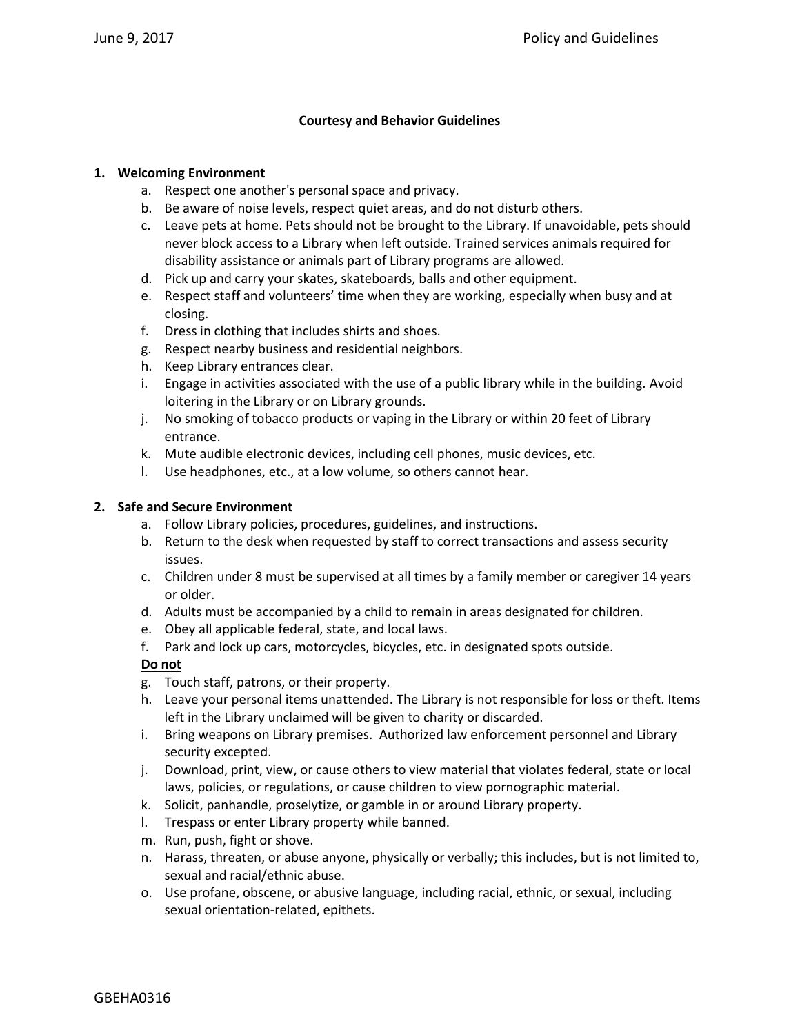## **Courtesy and Behavior Guidelines**

#### **1. Welcoming Environment**

- a. Respect one another's personal space and privacy.
- b. Be aware of noise levels, respect quiet areas, and do not disturb others.
- c. Leave pets at home. Pets should not be brought to the Library. If unavoidable, pets should never block access to a Library when left outside. Trained services animals required for disability assistance or animals part of Library programs are allowed.
- d. Pick up and carry your skates, skateboards, balls and other equipment.
- e. Respect staff and volunteers' time when they are working, especially when busy and at closing.
- f. Dress in clothing that includes shirts and shoes.
- g. Respect nearby business and residential neighbors.
- h. Keep Library entrances clear.
- i. Engage in activities associated with the use of a public library while in the building. Avoid loitering in the Library or on Library grounds.
- j. No smoking of tobacco products or vaping in the Library or within 20 feet of Library entrance.
- k. Mute audible electronic devices, including cell phones, music devices, etc.
- l. Use headphones, etc., at a low volume, so others cannot hear.

#### **2. Safe and Secure Environment**

- a. Follow Library policies, procedures, guidelines, and instructions.
- b. Return to the desk when requested by staff to correct transactions and assess security issues.
- c. Children under 8 must be supervised at all times by a family member or caregiver 14 years or older.
- d. Adults must be accompanied by a child to remain in areas designated for children.
- e. Obey all applicable federal, state, and local laws.
- f. Park and lock up cars, motorcycles, bicycles, etc. in designated spots outside.

# **Do not**

- g. Touch staff, patrons, or their property.
- h. Leave your personal items unattended. The Library is not responsible for loss or theft. Items left in the Library unclaimed will be given to charity or discarded.
- i. Bring weapons on Library premises. Authorized law enforcement personnel and Library security excepted.
- j. Download, print, view, or cause others to view material that violates federal, state or local laws, policies, or regulations, or cause children to view pornographic material.
- k. Solicit, panhandle, proselytize, or gamble in or around Library property.
- l. Trespass or enter Library property while banned.
- m. Run, push, fight or shove.
- n. Harass, threaten, or abuse anyone, physically or verbally; this includes, but is not limited to, sexual and racial/ethnic abuse.
- o. Use profane, obscene, or abusive language, including racial, ethnic, or sexual, including sexual orientation-related, epithets.